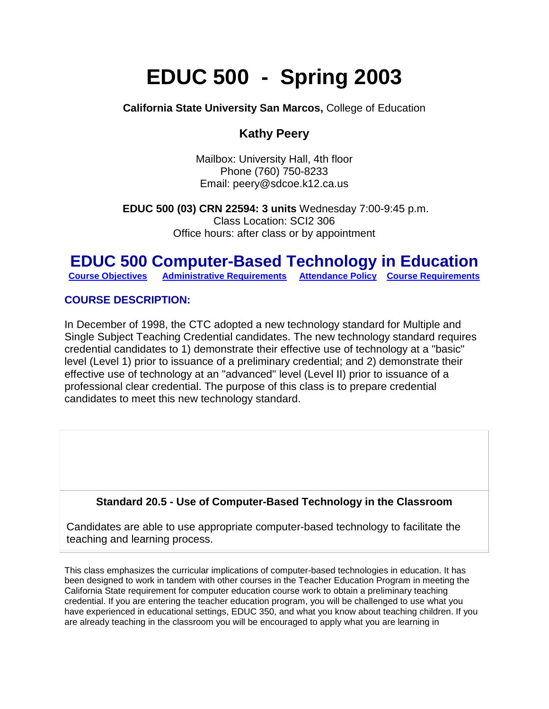# **EDUC 500 - Spring 2003**

**California State University San Marcos,** College of Education

# **Kathy Peery**

Mailbox: University Hall, 4th floor Phone (760) 750-8233 Email: peery@sdcoe.k12.ca.us

**EDUC 500 (03) CRN 22594: 3 units** Wednesday 7:00-9:45 p.m. Class Location: SCI2 306 Office hours: after class or by appointment

# **EDUC 500 Computer-Based Technology in Education**<br> **Course Objectives** Administrative Requirements Attendance Policy Course Requirements

**[Course Objectives](http://public.csusm.edu/lscott/syllabus.html#course%20objectives) [Administrative Requirements](http://public.csusm.edu/lscott/syllabus.html#admin%20requirements) [Attendance Policy](http://public.csusm.edu/lscott/syllabus.html#Attendance%20policy) [Course Requirements](http://public.csusm.edu/lscott/syllabus.html#course%20requirments)**

# **COURSE DESCRIPTION:**

In December of 1998, the CTC adopted a new technology standard for Multiple and Single Subject Teaching Credential candidates. The new technology standard requires credential candidates to 1) demonstrate their effective use of technology at a "basic" level (Level 1) prior to issuance of a preliminary credential; and 2) demonstrate their effective use of technology at an "advanced" level (Level II) prior to issuance of a professional clear credential. The purpose of this class is to prepare credential candidates to meet this new technology standard.

# **Standard 20.5 - Use of Computer-Based Technology in the Classroom**

Candidates are able to use appropriate computer-based technology to facilitate the teaching and learning process.

This class emphasizes the curricular implications of computer-based technologies in education. It has been designed to work in tandem with other courses in the Teacher Education Program in meeting the California State requirement for computer education course work to obtain a preliminary teaching credential. If you are entering the teacher education program, you will be challenged to use what you have experienced in educational settings, EDUC 350, and what you know about teaching children. If you are already teaching in the classroom you will be encouraged to apply what you are learning in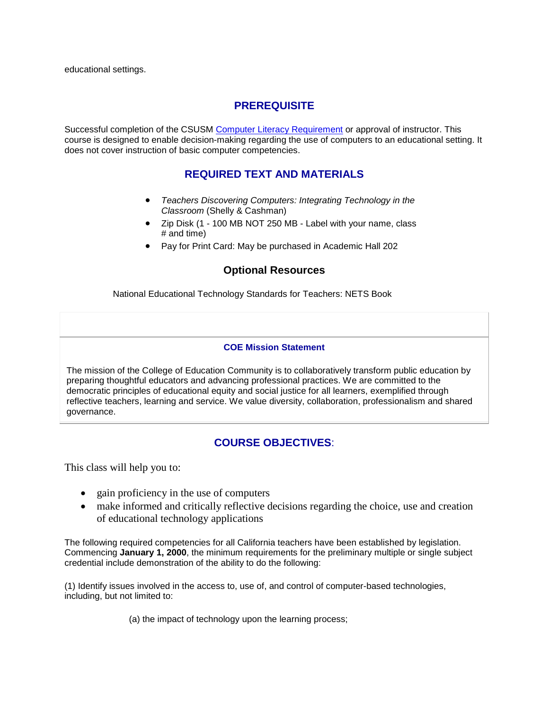# **PREREQUISITE**

Successful completion of the CSUSM [Computer Literacy Requirement](http://www.csusm.edu/computer_labs/ccr.htm) or approval of instructor. This course is designed to enable decision-making regarding the use of computers to an educational setting. It does not cover instruction of basic computer competencies.

## **REQUIRED TEXT AND MATERIALS**

- *Teachers Discovering Computers: Integrating Technology in the Classroom* (Shelly & Cashman)
- Zip Disk (1 100 MB NOT 250 MB Label with your name, class # and time)
- Pay for Print Card: May be purchased in Academic Hall 202

## **Optional Resources**

National Educational Technology Standards for Teachers: NETS Book

#### **COE Mission Statement**

The mission of the College of Education Community is to collaboratively transform public education by preparing thoughtful educators and advancing professional practices. We are committed to the democratic principles of educational equity and social justice for all learners, exemplified through reflective teachers, learning and service. We value diversity, collaboration, professionalism and shared governance.

# **COURSE OBJECTIVES**:

This class will help you to:

- gain proficiency in the use of computers
- make informed and critically reflective decisions regarding the choice, use and creation of educational technology applications

The following required competencies for all California teachers have been established by legislation. Commencing **January 1, 2000**, the minimum requirements for the preliminary multiple or single subject credential include demonstration of the ability to do the following:

(1) Identify issues involved in the access to, use of, and control of computer-based technologies, including, but not limited to:

(a) the impact of technology upon the learning process;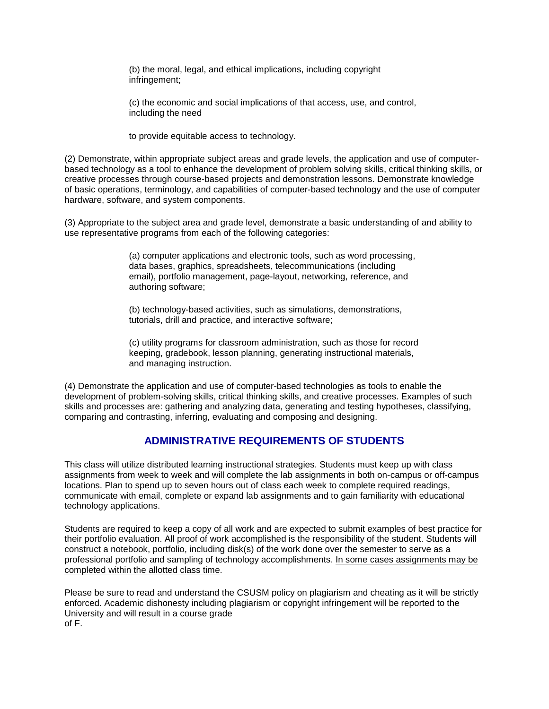(b) the moral, legal, and ethical implications, including copyright infringement;

(c) the economic and social implications of that access, use, and control, including the need

to provide equitable access to technology.

(2) Demonstrate, within appropriate subject areas and grade levels, the application and use of computerbased technology as a tool to enhance the development of problem solving skills, critical thinking skills, or creative processes through course-based projects and demonstration lessons. Demonstrate knowledge of basic operations, terminology, and capabilities of computer-based technology and the use of computer hardware, software, and system components.

(3) Appropriate to the subject area and grade level, demonstrate a basic understanding of and ability to use representative programs from each of the following categories:

> (a) computer applications and electronic tools, such as word processing, data bases, graphics, spreadsheets, telecommunications (including email), portfolio management, page-layout, networking, reference, and authoring software;

(b) technology-based activities, such as simulations, demonstrations, tutorials, drill and practice, and interactive software;

(c) utility programs for classroom administration, such as those for record keeping, gradebook, lesson planning, generating instructional materials, and managing instruction.

(4) Demonstrate the application and use of computer-based technologies as tools to enable the development of problem-solving skills, critical thinking skills, and creative processes. Examples of such skills and processes are: gathering and analyzing data, generating and testing hypotheses, classifying, comparing and contrasting, inferring, evaluating and composing and designing.

## **ADMINISTRATIVE REQUIREMENTS OF STUDENTS**

This class will utilize distributed learning instructional strategies. Students must keep up with class assignments from week to week and will complete the lab assignments in both on-campus or off-campus locations. Plan to spend up to seven hours out of class each week to complete required readings, communicate with email, complete or expand lab assignments and to gain familiarity with educational technology applications.

Students are required to keep a copy of all work and are expected to submit examples of best practice for their portfolio evaluation. All proof of work accomplished is the responsibility of the student. Students will construct a notebook, portfolio, including disk(s) of the work done over the semester to serve as a professional portfolio and sampling of technology accomplishments. In some cases assignments may be completed within the allotted class time.

Please be sure to read and understand the CSUSM policy on plagiarism and cheating as it will be strictly enforced. Academic dishonesty including plagiarism or copyright infringement will be reported to the University and will result in a course grade of F.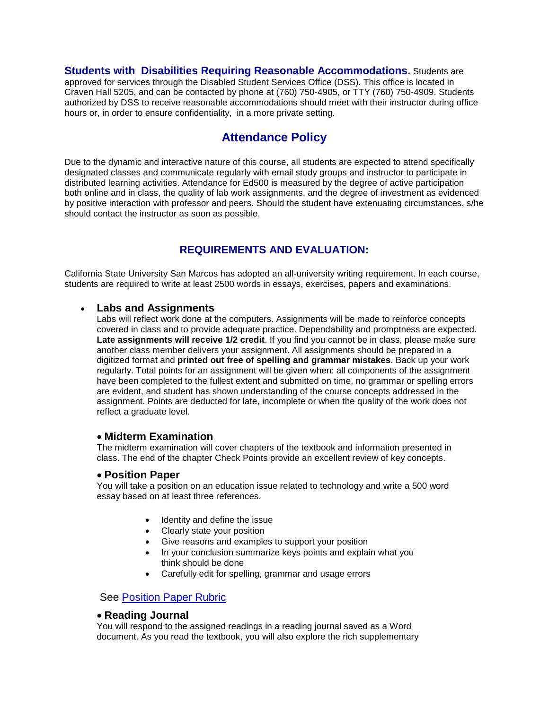**Students with Disabilities Requiring Reasonable Accommodations.** Students are approved for services through the Disabled Student Services Office (DSS). This office is located in Craven Hall 5205, and can be contacted by phone at (760) 750-4905, or TTY (760) 750-4909. Students authorized by DSS to receive reasonable accommodations should meet with their instructor during office hours or, in order to ensure confidentiality, in a more private setting.

# **Attendance Policy**

Due to the dynamic and interactive nature of this course, all students are expected to attend specifically designated classes and communicate regularly with email study groups and instructor to participate in distributed learning activities. Attendance for Ed500 is measured by the degree of active participation both online and in class, the quality of lab work assignments, and the degree of investment as evidenced by positive interaction with professor and peers. Should the student have extenuating circumstances, s/he should contact the instructor as soon as possible.

# **REQUIREMENTS AND EVALUATION:**

California State University San Marcos has adopted an all-university writing requirement. In each course, students are required to write at least 2500 words in essays, exercises, papers and examinations.

#### • **Labs and Assignments**

Labs will reflect work done at the computers. Assignments will be made to reinforce concepts covered in class and to provide adequate practice. Dependability and promptness are expected. **Late assignments will receive 1/2 credit**. If you find you cannot be in class, please make sure another class member delivers your assignment. All assignments should be prepared in a digitized format and **printed out free of spelling and grammar mistakes**. Back up your work regularly. Total points for an assignment will be given when: all components of the assignment have been completed to the fullest extent and submitted on time, no grammar or spelling errors are evident, and student has shown understanding of the course concepts addressed in the assignment. Points are deducted for late, incomplete or when the quality of the work does not reflect a graduate level.

#### • **Midterm Examination**

The midterm examination will cover chapters of the textbook and information presented in class. The end of the chapter Check Points provide an excellent review of key concepts.

#### • **Position Paper**

You will take a position on an education issue related to technology and write a 500 word essay based on at least three references.

- Identity and define the issue
- Clearly state your position
- Give reasons and examples to support your position
- In your conclusion summarize keys points and explain what you think should be done
- Carefully edit for spelling, grammar and usage errors

#### See [Position Paper Rubric](http://rubistar.4teachers.org/view_rubric.php3?id=353605)

#### • **Reading Journal**

You will respond to the assigned readings in a reading journal saved as a Word document. As you read the textbook, you will also explore the rich supplementary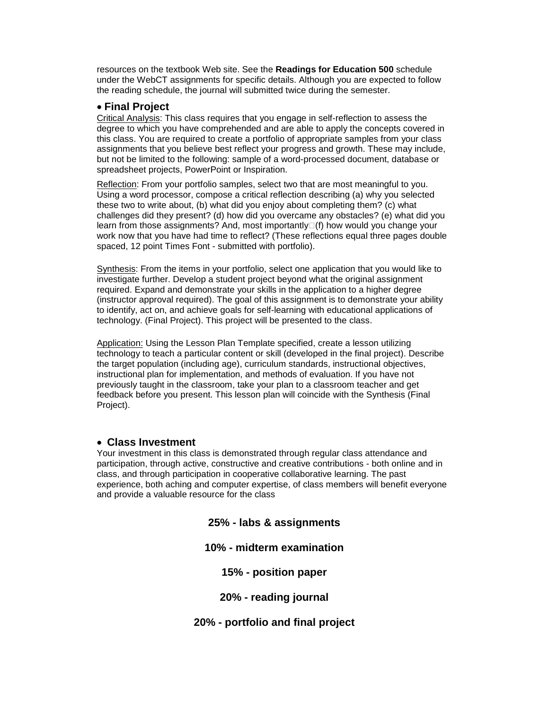resources on the textbook Web site. See the **Readings for Education 500** schedule under the WebCT assignments for specific details. Although you are expected to follow the reading schedule, the journal will submitted twice during the semester.

#### • **Final Project**

Critical Analysis: This class requires that you engage in self-reflection to assess the degree to which you have comprehended and are able to apply the concepts covered in this class. You are required to create a portfolio of appropriate samples from your class assignments that you believe best reflect your progress and growth. These may include, but not be limited to the following: sample of a word-processed document, database or spreadsheet projects, PowerPoint or Inspiration.

Reflection: From your portfolio samples, select two that are most meaningful to you. Using a word processor, compose a critical reflection describing (a) why you selected these two to write about, (b) what did you enjoy about completing them? (c) what challenges did they present? (d) how did you overcame any obstacles? (e) what did you learn from those assignments? And, most importantly $\Box(f)$  how would you change your work now that you have had time to reflect? (These reflections equal three pages double spaced, 12 point Times Font - submitted with portfolio).

Synthesis: From the items in your portfolio, select one application that you would like to investigate further. Develop a student project beyond what the original assignment required. Expand and demonstrate your skills in the application to a higher degree (instructor approval required). The goal of this assignment is to demonstrate your ability to identify, act on, and achieve goals for self-learning with educational applications of technology. (Final Project). This project will be presented to the class.

Application: Using the Lesson Plan Template specified, create a lesson utilizing technology to teach a particular content or skill (developed in the final project). Describe the target population (including age), curriculum standards, instructional objectives, instructional plan for implementation, and methods of evaluation. If you have not previously taught in the classroom, take your plan to a classroom teacher and get feedback before you present. This lesson plan will coincide with the Synthesis (Final Project).

#### • **Class Investment**

Your investment in this class is demonstrated through regular class attendance and participation, through active, constructive and creative contributions - both online and in class, and through participation in cooperative collaborative learning. The past experience, both aching and computer expertise, of class members will benefit everyone and provide a valuable resource for the class

**25% - labs & assignments**

#### **10% - midterm examination**

**15% - position paper**

**20% - reading journal**

**20% - portfolio and final project**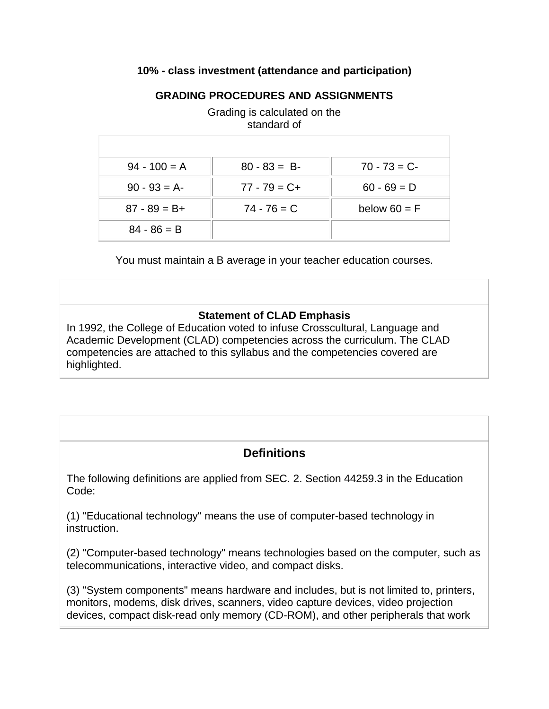## **10% - class investment (attendance and participation)**

## **GRADING PROCEDURES AND ASSIGNMENTS**

|                 | standard of     |                |
|-----------------|-----------------|----------------|
| $94 - 100 = A$  | $80 - 83 = B$   | $70 - 73 = C$  |
| $90 - 93 = A$   | $77 - 79 = C +$ | $60 - 69 = D$  |
| $87 - 89 = B +$ | $74 - 76 = C$   | below $60 = F$ |
| $84 - 86 = B$   |                 |                |

Grading is calculated on the standard of

You must maintain a B average in your teacher education courses.

## **Statement of CLAD Emphasis**

In 1992, the College of Education voted to infuse Crosscultural, Language and Academic Development (CLAD) competencies across the curriculum. The CLAD competencies are attached to this syllabus and the competencies covered are highlighted.

# **Definitions**

The following definitions are applied from SEC. 2. Section 44259.3 in the Education Code:

(1) "Educational technology" means the use of computer-based technology in instruction.

(2) "Computer-based technology" means technologies based on the computer, such as telecommunications, interactive video, and compact disks.

(3) "System components" means hardware and includes, but is not limited to, printers, monitors, modems, disk drives, scanners, video capture devices, video projection devices, compact disk-read only memory (CD-ROM), and other peripherals that work